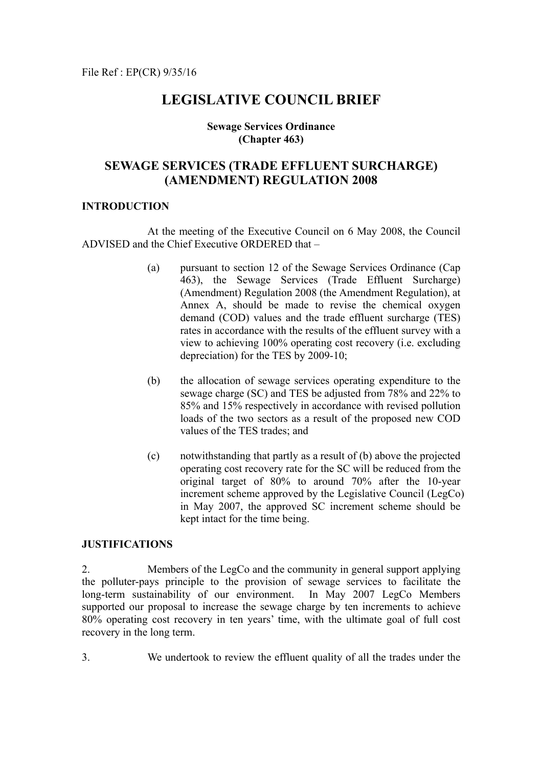## **LEGISLATIVE COUNCIL BRIEF**

## **Sewage Services Ordinance (Chapter 463)**

## **SEWAGE SERVICES (TRADE EFFLUENT SURCHARGE) (AMENDMENT) REGULATION 2008**

## **INTRODUCTION**

 At the meeting of the Executive Council on 6 May 2008, the Council ADVISED and the Chief Executive ORDERED that –

- (a) pursuant to section 12 of the Sewage Services Ordinance (Cap 463), the Sewage Services (Trade Effluent Surcharge) (Amendment) Regulation 2008 (the Amendment Regulation), at Annex A, should be made to revise the chemical oxygen demand (COD) values and the trade effluent surcharge (TES) rates in accordance with the results of the effluent survey with a view to achieving 100% operating cost recovery (i.e. excluding depreciation) for the TES by 2009-10;
- (b) the allocation of sewage services operating expenditure to the sewage charge (SC) and TES be adjusted from 78% and 22% to 85% and 15% respectively in accordance with revised pollution loads of the two sectors as a result of the proposed new COD values of the TES trades; and
- (c) notwithstanding that partly as a result of (b) above the projected operating cost recovery rate for the SC will be reduced from the original target of 80% to around 70% after the 10-year increment scheme approved by the Legislative Council (LegCo) in May 2007, the approved SC increment scheme should be kept intact for the time being.

## **JUSTIFICATIONS**

2. Members of the LegCo and the community in general support applying the polluter-pays principle to the provision of sewage services to facilitate the long-term sustainability of our environment. In May 2007 LegCo Members supported our proposal to increase the sewage charge by ten increments to achieve 80% operating cost recovery in ten years' time, with the ultimate goal of full cost recovery in the long term.

3. We undertook to review the effluent quality of all the trades under the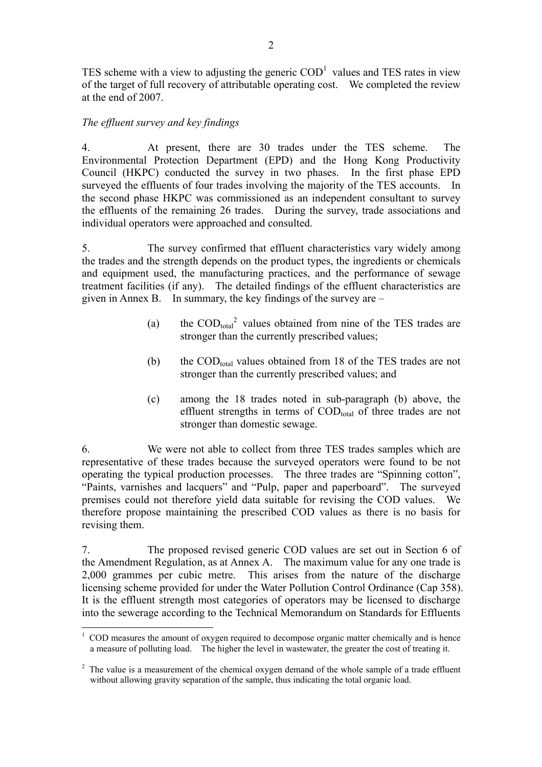TES scheme with a view to adjusting the generic  $\mathrm{COD}^1$  values and TES rates in view of the target of full recovery of attributable operating cost. We completed the review at the end of 2007.

## *The effluent survey and key findings*

 $\overline{a}$ 

4. At present, there are 30 trades under the TES scheme. The Environmental Protection Department (EPD) and the Hong Kong Productivity Council (HKPC) conducted the survey in two phases. In the first phase EPD surveyed the effluents of four trades involving the majority of the TES accounts. In the second phase HKPC was commissioned as an independent consultant to survey the effluents of the remaining 26 trades. During the survey, trade associations and individual operators were approached and consulted.

5. The survey confirmed that effluent characteristics vary widely among the trades and the strength depends on the product types, the ingredients or chemicals and equipment used, the manufacturing practices, and the performance of sewage treatment facilities (if any). The detailed findings of the effluent characteristics are given in Annex B. In summary, the key findings of the survey are –

- (a) the  $\text{COD}_{\text{total}}^2$  values obtained from nine of the TES trades are stronger than the currently prescribed values;
- (b) the  $\text{COD}_{\text{total}}$  values obtained from 18 of the TES trades are not stronger than the currently prescribed values; and
- (c) among the 18 trades noted in sub-paragraph (b) above, the effluent strengths in terms of  $\text{COD}_{\text{total}}$  of three trades are not stronger than domestic sewage.

6. We were not able to collect from three TES trades samples which are representative of these trades because the surveyed operators were found to be not operating the typical production processes. The three trades are "Spinning cotton", "Paints, varnishes and lacquers" and "Pulp, paper and paperboard". The surveyed premises could not therefore yield data suitable for revising the COD values. We therefore propose maintaining the prescribed COD values as there is no basis for revising them.

7. The proposed revised generic COD values are set out in Section 6 of the Amendment Regulation, as at Annex A. The maximum value for any one trade is 2,000 grammes per cubic metre. This arises from the nature of the discharge licensing scheme provided for under the Water Pollution Control Ordinance (Cap 358). It is the effluent strength most categories of operators may be licensed to discharge into the sewerage according to the Technical Memorandum on Standards for Effluents

 $1$  COD measures the amount of oxygen required to decompose organic matter chemically and is hence a measure of polluting load. The higher the level in wastewater, the greater the cost of treating it.

<sup>&</sup>lt;sup>2</sup> The value is a measurement of the chemical oxygen demand of the whole sample of a trade effluent without allowing gravity separation of the sample, thus indicating the total organic load.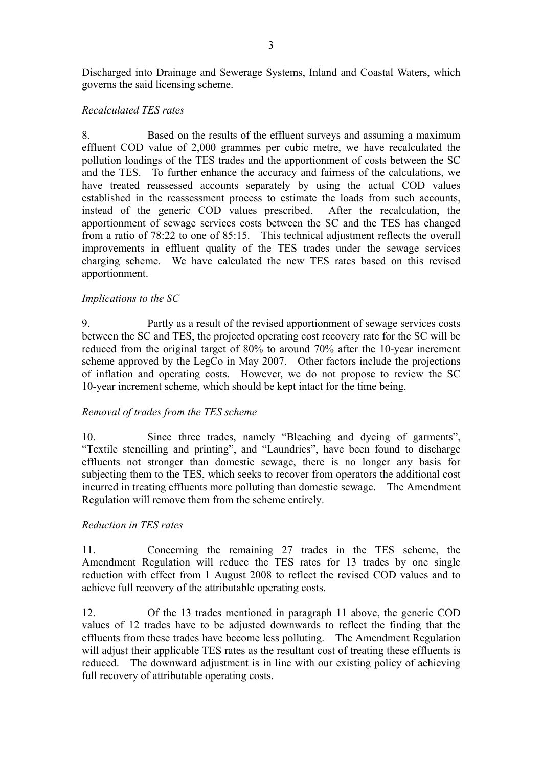Discharged into Drainage and Sewerage Systems, Inland and Coastal Waters, which governs the said licensing scheme.

## *Recalculated TES rates*

8. Based on the results of the effluent surveys and assuming a maximum effluent COD value of 2,000 grammes per cubic metre, we have recalculated the pollution loadings of the TES trades and the apportionment of costs between the SC and the TES. To further enhance the accuracy and fairness of the calculations, we have treated reassessed accounts separately by using the actual COD values established in the reassessment process to estimate the loads from such accounts, instead of the generic COD values prescribed. After the recalculation, the apportionment of sewage services costs between the SC and the TES has changed from a ratio of 78:22 to one of 85:15. This technical adjustment reflects the overall improvements in effluent quality of the TES trades under the sewage services charging scheme. We have calculated the new TES rates based on this revised apportionment.

## *Implications to the SC*

9. Partly as a result of the revised apportionment of sewage services costs between the SC and TES, the projected operating cost recovery rate for the SC will be reduced from the original target of 80% to around 70% after the 10-year increment scheme approved by the LegCo in May 2007. Other factors include the projections of inflation and operating costs. However, we do not propose to review the SC 10-year increment scheme, which should be kept intact for the time being.

## *Removal of trades from the TES scheme*

10. Since three trades, namely "Bleaching and dyeing of garments", "Textile stencilling and printing", and "Laundries", have been found to discharge effluents not stronger than domestic sewage, there is no longer any basis for subjecting them to the TES, which seeks to recover from operators the additional cost incurred in treating effluents more polluting than domestic sewage. The Amendment Regulation will remove them from the scheme entirely.

## *Reduction in TES rates*

11. Concerning the remaining 27 trades in the TES scheme, the Amendment Regulation will reduce the TES rates for 13 trades by one single reduction with effect from 1 August 2008 to reflect the revised COD values and to achieve full recovery of the attributable operating costs.

12. Of the 13 trades mentioned in paragraph 11 above, the generic COD values of 12 trades have to be adjusted downwards to reflect the finding that the effluents from these trades have become less polluting. The Amendment Regulation will adjust their applicable TES rates as the resultant cost of treating these effluents is reduced. The downward adjustment is in line with our existing policy of achieving full recovery of attributable operating costs.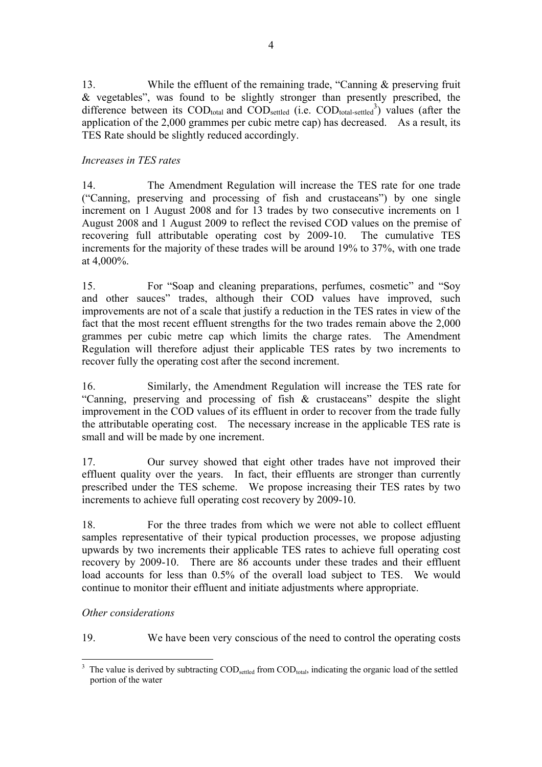13. While the effluent of the remaining trade, "Canning & preserving fruit & vegetables", was found to be slightly stronger than presently prescribed, the difference between its  $\text{COD}_{\text{total}}$  and  $\text{COD}_{\text{settled}}$  (i.e.  $\text{COD}_{\text{total-settled}}^3$ ) values (after the application of the 2,000 grammes per cubic metre cap) has decreased. As a result, its TES Rate should be slightly reduced accordingly.

## *Increases in TES rates*

14. The Amendment Regulation will increase the TES rate for one trade ("Canning, preserving and processing of fish and crustaceans") by one single increment on 1 August 2008 and for 13 trades by two consecutive increments on 1 August 2008 and 1 August 2009 to reflect the revised COD values on the premise of recovering full attributable operating cost by 2009-10. The cumulative TES increments for the majority of these trades will be around 19% to 37%, with one trade at 4,000%.

15. For "Soap and cleaning preparations, perfumes, cosmetic" and "Soy and other sauces" trades, although their COD values have improved, such improvements are not of a scale that justify a reduction in the TES rates in view of the fact that the most recent effluent strengths for the two trades remain above the 2,000 grammes per cubic metre cap which limits the charge rates. The Amendment Regulation will therefore adjust their applicable TES rates by two increments to recover fully the operating cost after the second increment.

16. Similarly, the Amendment Regulation will increase the TES rate for "Canning, preserving and processing of fish & crustaceans" despite the slight improvement in the COD values of its effluent in order to recover from the trade fully the attributable operating cost. The necessary increase in the applicable TES rate is small and will be made by one increment.

17. Our survey showed that eight other trades have not improved their effluent quality over the years. In fact, their effluents are stronger than currently prescribed under the TES scheme. We propose increasing their TES rates by two increments to achieve full operating cost recovery by 2009-10.

18. For the three trades from which we were not able to collect effluent samples representative of their typical production processes, we propose adjusting upwards by two increments their applicable TES rates to achieve full operating cost recovery by 2009-10. There are 86 accounts under these trades and their effluent load accounts for less than 0.5% of the overall load subject to TES. We would continue to monitor their effluent and initiate adjustments where appropriate.

*Other considerations* 

19. We have been very conscious of the need to control the operating costs

<sup>&</sup>lt;sup>3</sup> The value is derived by subtracting COD<sub>settled</sub> from COD<sub>total</sub>, indicating the organic load of the settled portion of the water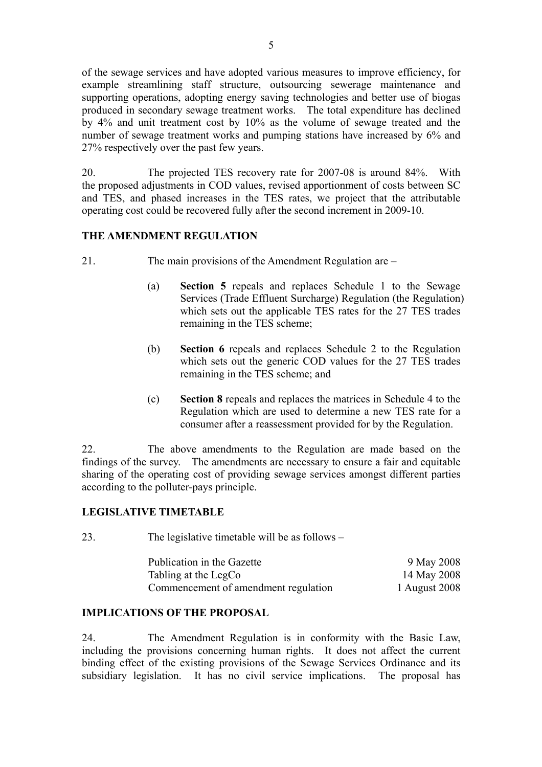of the sewage services and have adopted various measures to improve efficiency, for example streamlining staff structure, outsourcing sewerage maintenance and supporting operations, adopting energy saving technologies and better use of biogas produced in secondary sewage treatment works. The total expenditure has declined by 4% and unit treatment cost by 10% as the volume of sewage treated and the number of sewage treatment works and pumping stations have increased by 6% and 27% respectively over the past few years.

20. The projected TES recovery rate for 2007-08 is around 84%. With the proposed adjustments in COD values, revised apportionment of costs between SC and TES, and phased increases in the TES rates, we project that the attributable operating cost could be recovered fully after the second increment in 2009-10.

## **THE AMENDMENT REGULATION**

- 21. The main provisions of the Amendment Regulation are
	- (a) **Section 5** repeals and replaces Schedule 1 to the Sewage Services (Trade Effluent Surcharge) Regulation (the Regulation) which sets out the applicable TES rates for the 27 TES trades remaining in the TES scheme;
	- (b) **Section 6** repeals and replaces Schedule 2 to the Regulation which sets out the generic COD values for the 27 TES trades remaining in the TES scheme; and
	- (c) **Section 8** repeals and replaces the matrices in Schedule 4 to the Regulation which are used to determine a new TES rate for a consumer after a reassessment provided for by the Regulation.

22. The above amendments to the Regulation are made based on the findings of the survey. The amendments are necessary to ensure a fair and equitable sharing of the operating cost of providing sewage services amongst different parties according to the polluter-pays principle.

## **LEGISLATIVE TIMETABLE**

23. The legislative timetable will be as follows –

| Publication in the Gazette           | 9 May 2008    |
|--------------------------------------|---------------|
| Tabling at the LegCo                 | 14 May 2008   |
| Commencement of amendment regulation | 1 August 2008 |

## **IMPLICATIONS OF THE PROPOSAL**

24. The Amendment Regulation is in conformity with the Basic Law, including the provisions concerning human rights. It does not affect the current binding effect of the existing provisions of the Sewage Services Ordinance and its subsidiary legislation. It has no civil service implications. The proposal has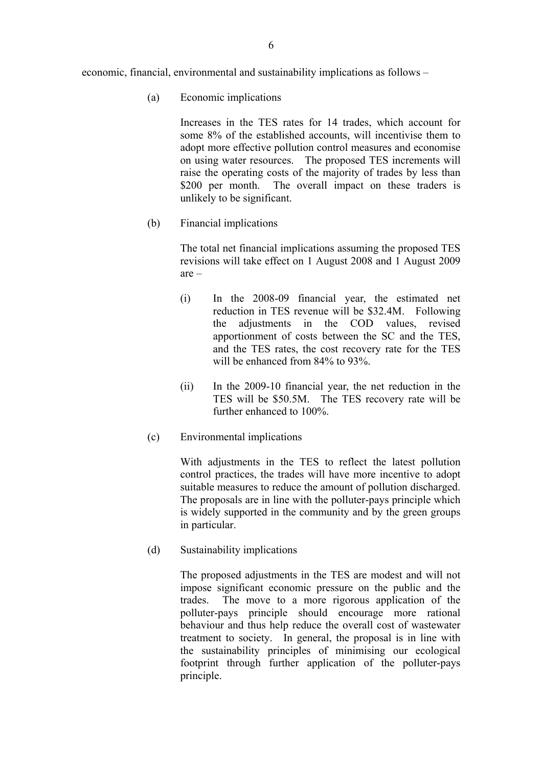economic, financial, environmental and sustainability implications as follows –

(a) Economic implications

Increases in the TES rates for 14 trades, which account for some 8% of the established accounts, will incentivise them to adopt more effective pollution control measures and economise on using water resources. The proposed TES increments will raise the operating costs of the majority of trades by less than \$200 per month. The overall impact on these traders is unlikely to be significant.

(b) Financial implications

The total net financial implications assuming the proposed TES revisions will take effect on 1 August 2008 and 1 August 2009 are –

- (i) In the 2008-09 financial year, the estimated net reduction in TES revenue will be \$32.4M. Following the adjustments in the COD values, revised apportionment of costs between the SC and the TES, and the TES rates, the cost recovery rate for the TES will be enhanced from 84% to 93%.
- (ii) In the 2009-10 financial year, the net reduction in the TES will be \$50.5M. The TES recovery rate will be further enhanced to 100%.
- (c) Environmental implications

With adjustments in the TES to reflect the latest pollution control practices, the trades will have more incentive to adopt suitable measures to reduce the amount of pollution discharged. The proposals are in line with the polluter-pays principle which is widely supported in the community and by the green groups in particular.

(d) Sustainability implications

The proposed adjustments in the TES are modest and will not impose significant economic pressure on the public and the trades. The move to a more rigorous application of the polluter-pays principle should encourage more rational behaviour and thus help reduce the overall cost of wastewater treatment to society. In general, the proposal is in line with the sustainability principles of minimising our ecological footprint through further application of the polluter-pays principle.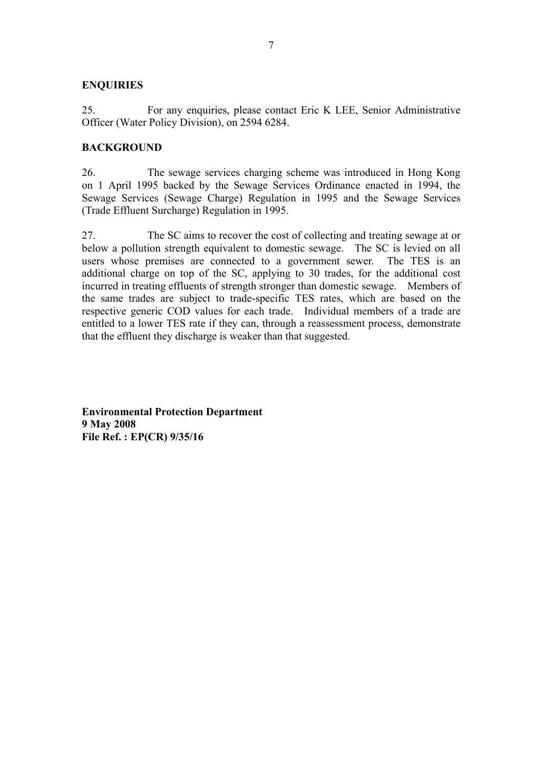## **ENQUIRIES**

25. For any enquiries, please contact Eric K LEE, Senior Administrative Officer (Water Policy Division), on 2594 6284.

## **BACKGROUND**

26. The sewage services charging scheme was introduced in Hong Kong on 1 April 1995 backed by the Sewage Services Ordinance enacted in 1994, the Sewage Services (Sewage Charge) Regulation in 1995 and the Sewage Services (Trade Effluent Surcharge) Regulation in 1995.

27. The SC aims to recover the cost of collecting and treating sewage at or below a pollution strength equivalent to domestic sewage. The SC is levied on all users whose premises are connected to a government sewer. The TES is an additional charge on top of the SC, applying to 30 trades, for the additional cost incurred in treating effluents of strength stronger than domestic sewage. Members of the same trades are subject to trade-specific TES rates, which are based on the respective generic COD values for each trade. Individual members of a trade are entitled to a lower TES rate if they can, through a reassessment process, demonstrate that the effluent they discharge is weaker than that suggested.

**Environmental Protection Department 9 May 2008 File Ref. : EP(CR) 9/35/16**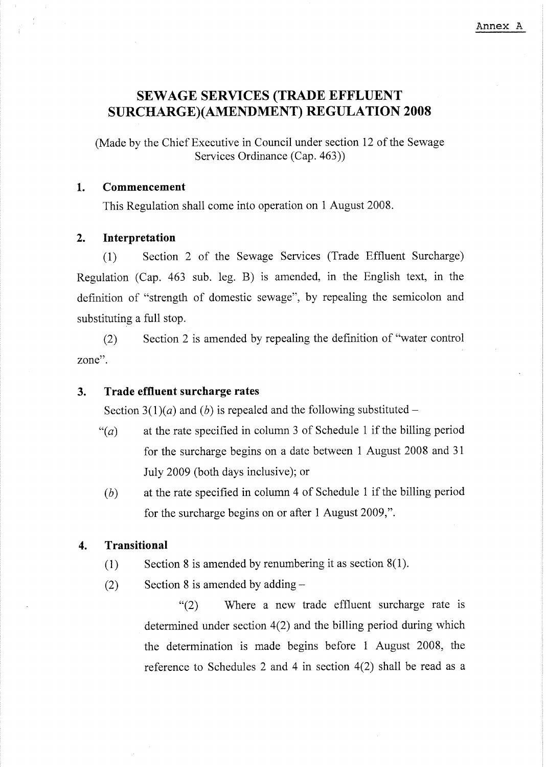### Annex A

## **SEWAGE SERVICES (TRADE EFFLUENT SURCHARGE)(AMENDMENT) REGULATION 2008**

(Made by the Chief Executive in Council under section 12 of the Sewage Services Ordinance (Cap. 463))

#### $1<sub>1</sub>$ Commencement

This Regulation shall come into operation on 1 August 2008.

#### Interpretation  $2<sub>1</sub>$

Section 2 of the Sewage Services (Trade Effluent Surcharge)  $(1)$ Regulation (Cap. 463 sub. leg. B) is amended, in the English text, in the definition of "strength of domestic sewage", by repealing the semicolon and substituting a full stop.

Section 2 is amended by repeating the definition of "water control"  $(2)$ zone".

#### Trade effluent surcharge rates  $3.$

Section 3(1)(*a*) and (*b*) is repealed and the following substituted –

- at the rate specified in column 3 of Schedule 1 if the billing period  $``(a)$ for the surcharge begins on a date between 1 August 2008 and 31 July 2009 (both days inclusive); or
- at the rate specified in column 4 of Schedule 1 if the billing period  $(b)$ for the surcharge begins on or after 1 August 2009,".

#### **Transitional**  $\mathbf{4}$

- Section 8 is amended by renumbering it as section  $8(1)$ .  $(1)$
- Section 8 is amended by adding  $(2)$

Where a new trade effluent surcharge rate is  $(2)$ determined under section  $4(2)$  and the billing period during which the determination is made begins before 1 August 2008, the reference to Schedules 2 and 4 in section  $4(2)$  shall be read as a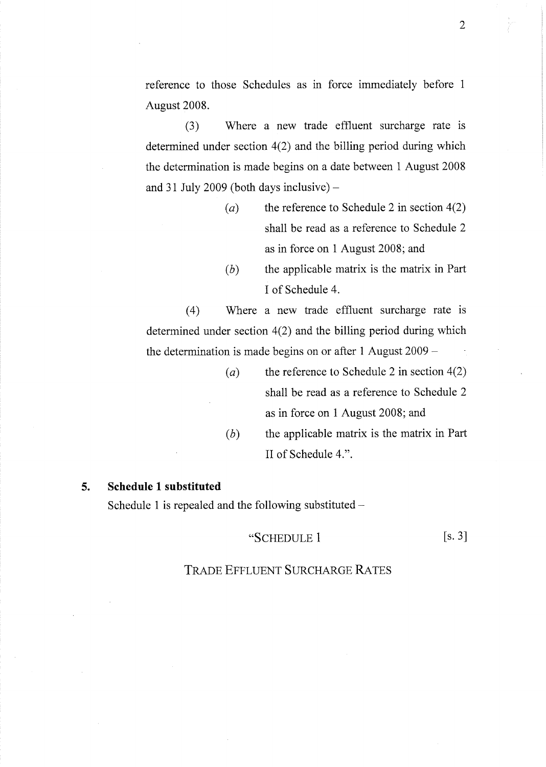reference to those Schedules as in force immediately before 1 August 2008.

Where a new trade effluent surcharge rate is  $(3)$ determined under section  $4(2)$  and the billing period during which the determination is made begins on a date between 1 August 2008 and 31 July 2009 (both days inclusive)  $-$ 

- the reference to Schedule 2 in section  $4(2)$  $(a)$ shall be read as a reference to Schedule 2 as in force on 1 August 2008; and
- $(b)$ the applicable matrix is the matrix in Part Lof Schedule 4.

Where a new trade effluent surcharge rate is  $(4)$ determined under section  $4(2)$  and the billing period during which the determination is made begins on or after 1 August  $2009 -$ 

- the reference to Schedule 2 in section  $4(2)$  $(a)$ shall be read as a reference to Schedule 2 as in force on 1 August 2008; and
	- $(b)$ the applicable matrix is the matrix in Part II of Schedule 4.".

#### $5.$ **Schedule 1 substituted**

Schedule 1 is repealed and the following substituted  $-$ 

### "SCHEDULE 1

 $[s, 3]$ 

## **TRADE EFFLUENT SURCHARGE RATES**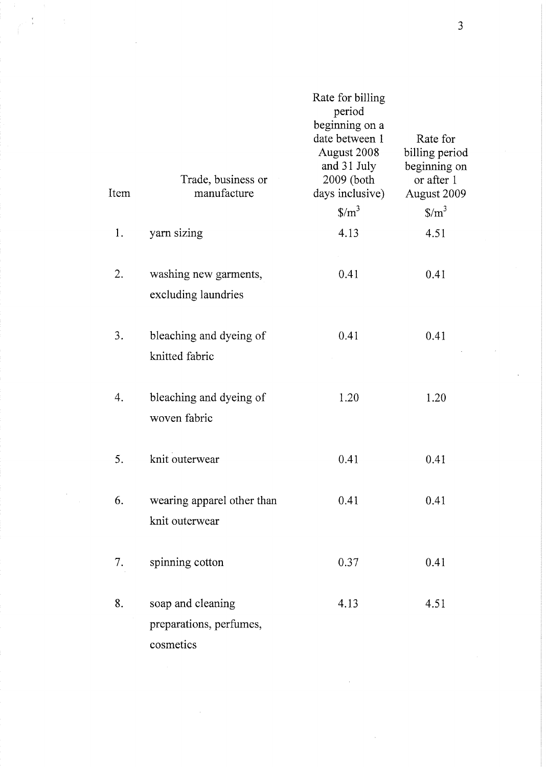| Item | Trade, business or<br>manufacture                         | Rate for billing<br>period<br>beginning on a<br>date between 1<br>August 2008<br>and 31 July<br>2009 (both<br>days inclusive) | Rate for<br>billing period<br>beginning on<br>or after 1<br>August 2009 |
|------|-----------------------------------------------------------|-------------------------------------------------------------------------------------------------------------------------------|-------------------------------------------------------------------------|
|      |                                                           | $\frac{\text{S}}{\text{m}^3}$                                                                                                 | $\frac{\text{S}}{\text{m}^3}$                                           |
| 1.   | yarn sizing                                               | 4.13                                                                                                                          | 4.51                                                                    |
| 2.   | washing new garments,<br>excluding laundries              | 0.41                                                                                                                          | 0.41                                                                    |
| 3.   | bleaching and dyeing of<br>knitted fabric                 | 0.41                                                                                                                          | 0.41                                                                    |
| 4.   | bleaching and dyeing of<br>woven fabric                   | 1.20                                                                                                                          | 1.20                                                                    |
| 5.   | knit outerwear                                            | 0.41                                                                                                                          | 0.41                                                                    |
| 6.   | wearing apparel other than<br>knit outerwear              | 0.41                                                                                                                          | 0.41                                                                    |
| 7.   | spinning cotton                                           | 0.37                                                                                                                          | 0.41                                                                    |
| 8.   | soap and cleaning<br>preparations, perfumes,<br>cosmetics | 4.13                                                                                                                          | 4.51                                                                    |

 $\hat{\mathcal{L}}$ 

 $\sim$ 

 $\begin{array}{c} \mathbf{r} \\ \mathbf{r} \\ \mathbf{r} \end{array}$ 

 $\ddot{\phantom{0}}$ 

÷.

 $\overline{3}$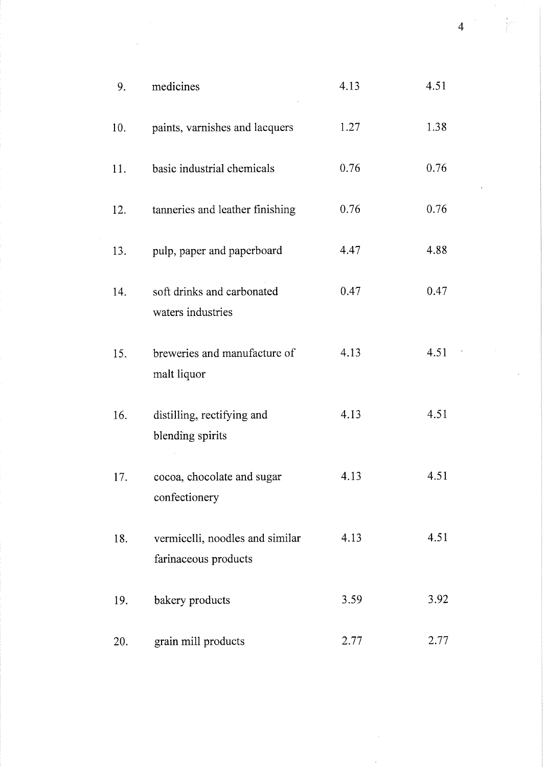| 9.  | medicines                                               | 4.13 | 4.51 |  |
|-----|---------------------------------------------------------|------|------|--|
| 10. | paints, varnishes and lacquers                          | 1.27 | 1.38 |  |
| 11. | basic industrial chemicals                              | 0.76 | 0.76 |  |
| 12. | tanneries and leather finishing                         | 0.76 | 0.76 |  |
| 13. | pulp, paper and paperboard                              | 4.47 | 4.88 |  |
| 14. | soft drinks and carbonated<br>waters industries         | 0.47 | 0.47 |  |
| 15. | breweries and manufacture of<br>malt liquor             | 4.13 | 4.51 |  |
| 16. | distilling, rectifying and<br>blending spirits          | 4.13 | 4.51 |  |
| 17. | cocoa, chocolate and sugar<br>confectionery             | 4.13 | 4.51 |  |
| 18. | vermicelli, noodles and similar<br>farinaceous products | 4.13 | 4.51 |  |
| 19. | bakery products                                         | 3.59 | 3.92 |  |
| 20. | grain mill products                                     | 2.77 | 2.77 |  |

 $\hat{A}$ 

 $4$   $\leftarrow$ 

 $\frac{1}{2} \left( \frac{1}{2} \right)$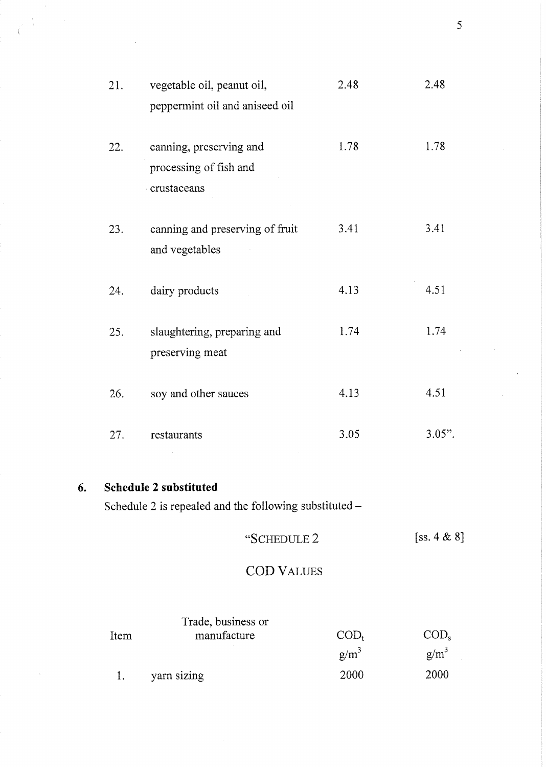| 21. | vegetable oil, peanut oil,                                       | 2.48 | 2.48      |
|-----|------------------------------------------------------------------|------|-----------|
|     | peppermint oil and aniseed oil                                   |      |           |
| 22. | canning, preserving and<br>processing of fish and<br>crustaceans | 1.78 | 1.78      |
| 23. | canning and preserving of fruit<br>and vegetables                | 3.41 | 3.41      |
| 24. | dairy products                                                   | 4.13 | 4.51      |
| 25. | slaughtering, preparing and<br>preserving meat                   | 1.74 | 1.74      |
| 26. | soy and other sauces                                             | 4.13 | 4.51      |
| 27. | restaurants                                                      | 3.05 | $3.05$ ". |
|     |                                                                  |      |           |

#### 6. Schedule 2 substituted

Schedule 2 is repealed and the following substituted -

### $[ss. 4 & 8]$ "SCHEDULE 2

# **COD VALUES**

| Item | Trade, business or<br>manufacture | $\mathrm{COD}_{t}$ | $\text{COD}_s$ |
|------|-----------------------------------|--------------------|----------------|
|      |                                   | $g/m^3$            | $g/m^3$        |
|      | yarn sizing                       | 2000               | 2000           |

 $\overline{5}$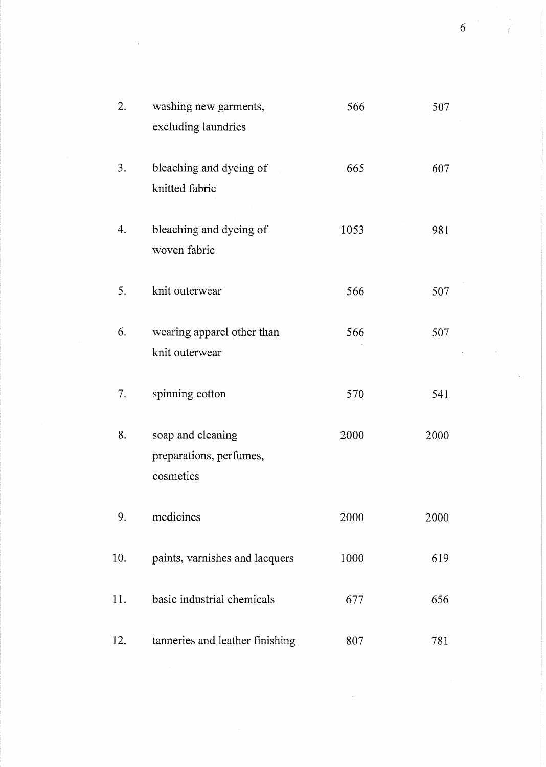| 2.  | washing new garments,<br>excluding laundries              | 566  | 507  |  |
|-----|-----------------------------------------------------------|------|------|--|
| 3.  | bleaching and dyeing of<br>knitted fabric                 | 665  | 607  |  |
| 4.  | bleaching and dyeing of<br>woven fabric                   | 1053 | 981  |  |
| 5.  | knit outerwear                                            | 566  | 507  |  |
| 6.  | wearing apparel other than<br>knit outerwear              | 566  | 507  |  |
| 7.  | spinning cotton                                           | 570  | 541  |  |
| 8.  | soap and cleaning<br>preparations, perfumes,<br>cosmetics | 2000 | 2000 |  |
| 9.  | medicines                                                 | 2000 | 2000 |  |
| 10. | paints, varnishes and lacquers                            | 1000 | 619  |  |
| 11. | basic industrial chemicals                                | 677  | 656  |  |
| 12. | tanneries and leather finishing                           | 807  | 781  |  |

 $\sim 10$ 

 $\mathcal{L}^{\text{max}}_{\text{max}}$  , where  $\mathcal{L}^{\text{max}}_{\text{max}}$ 

 $6\overline{6}$ 

 $\sim$   $\sim$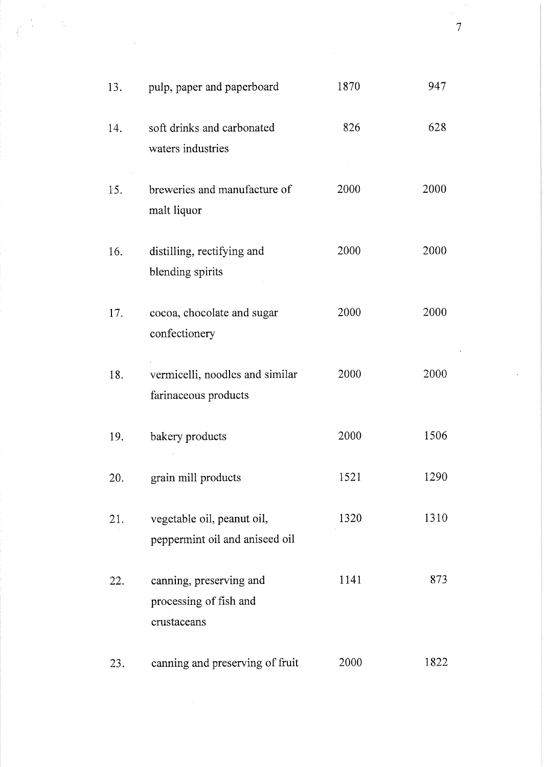| 13. | pulp, paper and paperboard                                       | 1870 | 947  |
|-----|------------------------------------------------------------------|------|------|
| 14. | soft drinks and carbonated<br>waters industries                  | 826  | 628  |
| 15. | breweries and manufacture of<br>malt liquor                      | 2000 | 2000 |
| 16. | distilling, rectifying and<br>blending spirits                   | 2000 | 2000 |
| 17. | cocoa, chocolate and sugar<br>confectionery                      | 2000 | 2000 |
| 18. | vermicelli, noodles and similar<br>farinaceous products          | 2000 | 2000 |
| 19. | bakery products                                                  | 2000 | 1506 |
| 20. | grain mill products                                              | 1521 | 1290 |
| 21. | vegetable oil, peanut oil,<br>peppermint oil and aniseed oil     | 1320 | 1310 |
| 22. | canning, preserving and<br>processing of fish and<br>crustaceans | 1141 | 873  |
| 23. | canning and preserving of fruit                                  | 2000 | 1822 |

 $\hat{\mathcal{A}}$ 

 $\sim 10^6$ 

 $\sim 10^{-11}$ 

 $\label{eq:2} \frac{1}{\sqrt{2}}\left(\frac{1}{\sqrt{2}}\right)^{2} \left(\frac{1}{\sqrt{2}}\right)^{2} \left(\frac{1}{\sqrt{2}}\right)^{2}$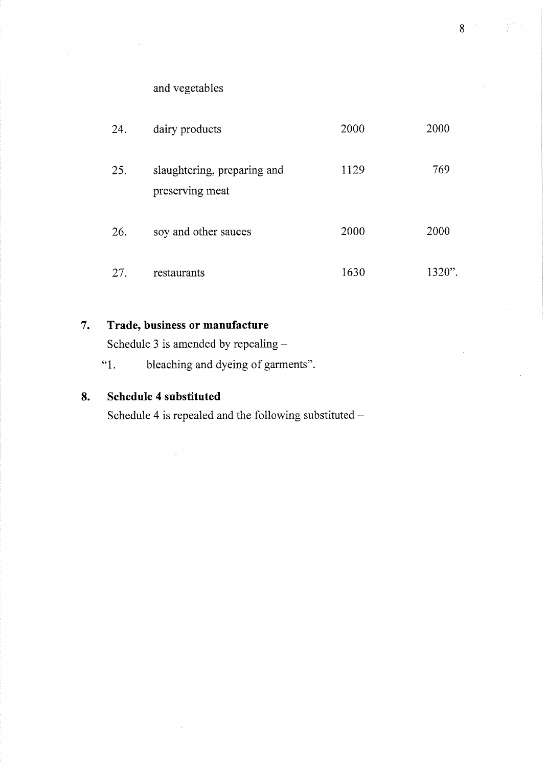and vegetables

| 24. | dairy products                                 | 2000 | 2000   |
|-----|------------------------------------------------|------|--------|
| 25. | slaughtering, preparing and<br>preserving meat | 1129 | 769    |
| 26. | soy and other sauces                           | 2000 | 2000   |
| 27. | restaurants                                    | 1630 | 1320". |

#### $7.$ Trade, business or manufacture

Schedule 3 is amended by repealing -

 $~^{64}$  1. bleaching and dyeing of garments".

#### 8. Schedule 4 substituted

Schedule 4 is repealed and the following substituted -

 $8<sup>1</sup>$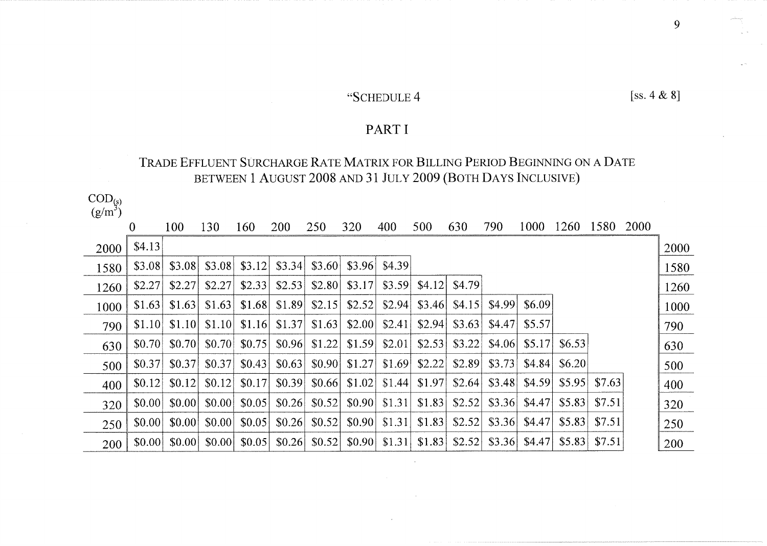# "SCHEDULE 4

## PART I

## TRADE EFFLUENT SURCHARGE RATE MATRIX FOR BILLING PERIOD BEGINNING ON A DATE BETWEEN 1 AUGUST 2008 AND 31 JULY 2009 (BOTH DAYS INCLUSIVE)

 $\frac{\text{COD}_{\text{(s)}}}{\text{(g/m}^3)}$ 

| \ສີ  |          |        |        |        |            |        |        |        |        |        |        |        |        |        |      |      |
|------|----------|--------|--------|--------|------------|--------|--------|--------|--------|--------|--------|--------|--------|--------|------|------|
|      | $\bf{0}$ | 100    | 130    | 160    | <b>200</b> | 250    | 320    | 400    | 500    | 630    | 790    | 1000   | 1260   | 1580   | 2000 |      |
| 2000 | \$4.13   |        |        |        |            |        |        |        |        |        |        |        |        |        |      | 2000 |
| 1580 | \$3.08   | \$3.08 | \$3.08 | \$3.12 | \$3.34     | \$3.60 | \$3.96 | \$4.39 |        |        |        |        |        |        |      | 1580 |
| 1260 | \$2.27   | \$2.27 | \$2.27 | \$2.33 | \$2.53     | \$2.80 | \$3.17 | \$3.59 | \$4.12 | \$4.79 |        |        |        |        |      | 1260 |
| 1000 | \$1.63   | \$1.63 | \$1.63 | \$1.68 | \$1.89     | \$2.15 | \$2.52 | \$2.94 | \$3.46 | \$4.15 | \$4.99 | \$6.09 |        |        |      | 1000 |
| 790  | \$1.10   | \$1.10 | \$1.10 | \$1.16 | \$1.37     | \$1.63 | \$2.00 | \$2.41 | \$2.94 | \$3.63 | \$4.47 | \$5.57 |        |        |      | 790  |
| 630  | \$0.70   | \$0.70 | \$0.70 | \$0.75 | \$0.96     | \$1.22 | \$1.59 | \$2.01 | \$2.53 | \$3.22 | \$4.06 | \$5.17 | \$6.53 |        |      | 630  |
| 500  | \$0.37   | \$0.37 | \$0.37 | \$0.43 | \$0.63     | \$0.90 | \$1.27 | \$1.69 | \$2.22 | \$2.89 | \$3.73 | \$4.84 | \$6.20 |        |      | 500  |
| 400  | \$0.12   | \$0.12 | \$0.12 | \$0.17 | \$0.39     | \$0.66 | \$1.02 | \$1.44 | \$1.97 | \$2.64 | \$3.48 | \$4.59 | \$5.95 | \$7.63 |      | 400  |
| 320  | \$0.00   | \$0.00 | \$0.00 | \$0.05 | \$0.26     | \$0.52 | \$0.90 | \$1.31 | \$1.83 | \$2.52 | \$3.36 | \$4.47 | \$5.83 | \$7.51 |      | 320  |
| 250  | \$0.00   | \$0.00 | \$0.00 | \$0.05 | \$0.26     | \$0.52 | \$0.90 | \$1.31 | \$1.83 | \$2.52 | \$3.36 | \$4.47 | \$5.83 | \$7.51 |      | 250  |
| 200  | \$0.00   | \$0.00 | \$0.00 | \$0.05 | \$0.26     | \$0.52 | \$0.90 | \$1.31 | \$1.83 | \$2.52 | \$3.36 | \$4.47 | \$5.83 | \$7.51 |      | 200  |

9

[ss.  $4 & 8$ ]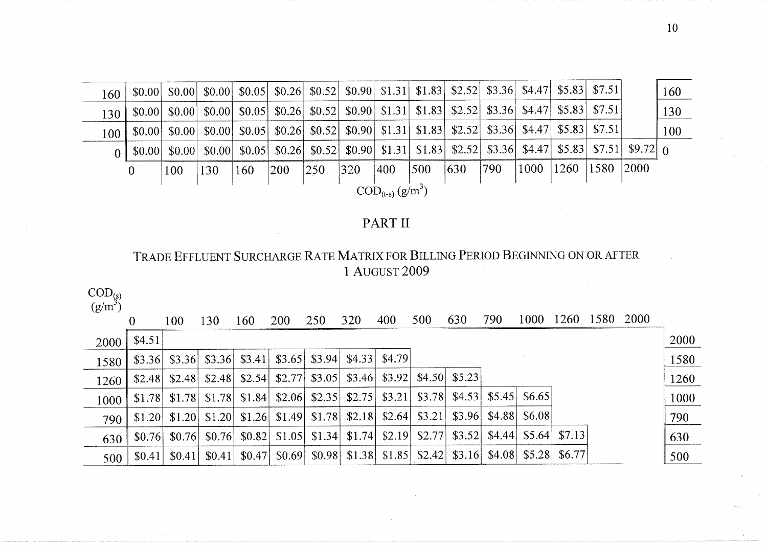| $160 \mid$                               |              |        |     |     | $\vert$ \$0.00 \ \$0.00 \ \$0.00 \ \$0.05 \ \$0.26 \ \$0.52 \ \$0.90 \ \$1.31 \ \$1.83 \ \$2.52 \ \$3.36 \ \$4.47 \ \$5.83 \ \$7.51 \ \$1.83 \ \ \$1.83 \ \ \$2.52 \ \$3.36 \ \$4.47 \ \$5.83 \ \$7.51 \ \ \$5.83 \ \ \$1.51 \ \ \ \ \ \ \ \ \ \ \ \ \ |               |     |     |     |     |     |           |           |  | 160 |
|------------------------------------------|--------------|--------|-----|-----|--------------------------------------------------------------------------------------------------------------------------------------------------------------------------------------------------------------------------------------------------------|---------------|-----|-----|-----|-----|-----|-----------|-----------|--|-----|
| 130                                      |              |        |     |     | $\vert$ \$0.00 \ \$0.00 \ \$0.00 \ \$0.05 \ \$0.26 \ \$0.52 \ \$0.90 \ \$1.31 \ \$1.83 \ \$2.52 \ \$3.36 \ \$4.47 \ \$5.83 \ \$7.51                                                                                                                    |               |     |     |     |     |     |           |           |  | 130 |
| 100                                      |              |        |     |     | $\vert$ \$0.00 \ \$0.00 \ \$0.00 \ \$0.05 \ \$0.26 \ \$0.52 \ \$0.90 \ \$1.31 \ \$1.83 \ \$2.52 \ \$3.36 \ \$4.47 \ \$5.83 \ \$7.51 \ \                                                                                                                |               |     |     |     |     |     |           |           |  | 100 |
| 0 <sup>1</sup>                           | \$0.00       | \$0.00 |     |     | $\uparrow$ \$0.00 \$0.05 \$0.26 \$0.52 \$0.90 \$1.31 \$1.83 \$2.52 \$3.36 \$4.47 \$5.83 \$7.51 \$9.72 0                                                                                                                                                |               |     |     |     |     |     |           |           |  |     |
|                                          | $\mathbf{0}$ | 100    | 130 | 160 | 200                                                                                                                                                                                                                                                    | $ 250\rangle$ | 320 | 400 | 500 | 630 | 790 | 1000 1260 | 1580 2000 |  |     |
| $\mathrm{COD}_{(t-s)}$ (g/m <sup>3</sup> |              |        |     |     |                                                                                                                                                                                                                                                        |               |     |     |     |     |     |           |           |  |     |

# PART II

# TRADE EFFLUENT SURCHARGE RATE MATRIX FOR BILLING PERIOD BEGINNING ON OR AFTER 1 AUGUST 2009

 $\frac{\text{COD}_{\text{(s)}}}{\text{(p/m}^3)}$ 

| $\chi$ (g) $\mu$ |        |                               |        |        |                                                          |        |     |                                                                      |        |        |        |                            |                   |      |       |      |
|------------------|--------|-------------------------------|--------|--------|----------------------------------------------------------|--------|-----|----------------------------------------------------------------------|--------|--------|--------|----------------------------|-------------------|------|-------|------|
|                  | 0      | 100                           | 30     | 160    | <b>200</b>                                               | 250    | 320 | 400                                                                  | 500    | 630    | 790    | 1000                       | 1260              | 1580 | -2000 |      |
| 2000             | \$4.51 |                               |        |        |                                                          |        |     |                                                                      |        |        |        |                            |                   |      |       | 2000 |
| 1580             |        | $$3.36$ $$3.36$               |        |        | $$3.36 $ \$3.41 \$3.65 \$3.94 \$4.33 \$4.79              |        |     |                                                                      |        |        |        |                            |                   |      |       | 1580 |
| 1260             | \$2.48 | \$2.48                        | \$2.48 | \$2.54 | \$2.77                                                   | \$3.05 |     | $$3.46$ $$3.92$ $$4.50$ $$5.23$                                      |        |        |        |                            |                   |      |       | 1260 |
| 1000             | \$1.78 | \$1.78                        | \$1.78 | \$1.84 | \$2.06                                                   |        |     | $$2.35$   $$2.75$   $$3.21$   $$3.78$   $$4.53$                      |        |        | \$5.45 | \$6.65                     |                   |      |       | 1000 |
| 790              |        | $$1.20 \,   \, $1.20 \,   \,$ |        |        | $$1.20$   \$1.26  \$1.49  \$1.78  \$2.18  \$2.64  \$3.21 |        |     |                                                                      |        | \$3.96 | \$4.88 | \$6.08                     |                   |      |       | 790  |
| 630              | \$0.76 | \$0.76                        | \$0.76 |        | $$0.82$   \$1.05  \$1.34  \$1.74  \$2.19                 |        |     |                                                                      | \$2.77 | \$3.52 | \$4.44 |                            | \$5.64 \ \ \$7.13 |      |       | 630  |
| 500              | \$0.41 | \$0.41                        | \$0.41 | \$0.47 |                                                          |        |     | $\{80.69\}$ $\{80.98\}$ $\{1.38\}$ $\{1.85\}$ $\{2.42\}$ $\{33.16\}$ |        |        | \$4.08 | $$5.28 \, \times \, 56.77$ |                   |      |       | 500  |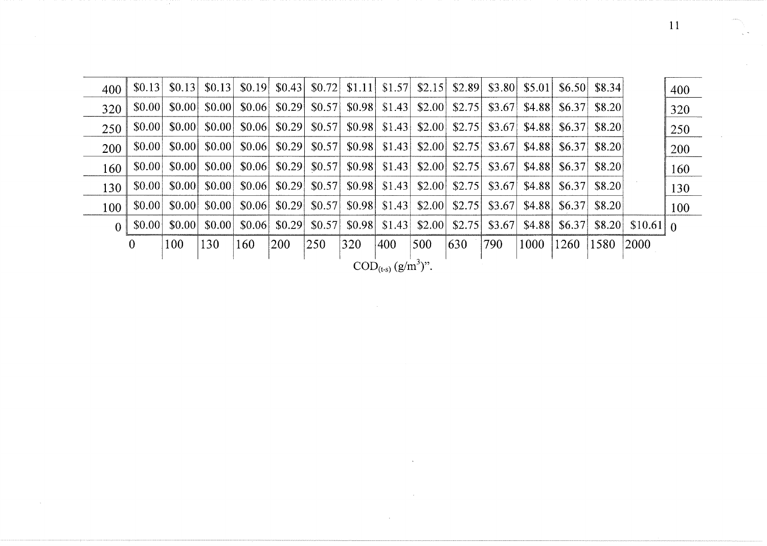| 400                               | \$0.13         | \$0.13 |        | $\vert 0.13 \vert 0.19 \vert 0.43 \vert 0.72 \vert 0.11 \vert 0.57 \vert$ |                    |                                                                                                                                                                                                                                                   |     |                                                | \$2.15 |        | $$2.89$ $$3.80$ $$5.01$ $$6.50$ $$8.34$ |                         |                                  |        |                            | 400 |
|-----------------------------------|----------------|--------|--------|---------------------------------------------------------------------------|--------------------|---------------------------------------------------------------------------------------------------------------------------------------------------------------------------------------------------------------------------------------------------|-----|------------------------------------------------|--------|--------|-----------------------------------------|-------------------------|----------------------------------|--------|----------------------------|-----|
| 320                               | \$0.00         | \$0.00 |        | $$0.00 \, \times \, 0.06$                                                 |                    | $\vert$ \$0.29 \ \$0.57 \ \$0.98 \                                                                                                                                                                                                                |     | \$1.43                                         | \$2.00 |        | $$2.75$ $$3.67$                         |                         | $$4.88 \;   \; $6.37$            | \$8.20 |                            | 320 |
| 250                               | \$0.00         | \$0.00 |        | $$0.00 \, \text{S} \, 0.06$                                               |                    | $\vert$ \$0.29 \cdot \$0.57 \cdot \$0.98 \cdot \$1.43 \cdot \$1.43 \cdot \$1.43 \cdot \$1.43 \cdot \$1.43 \cdot \$1.43 \cdot \$1.43 \cdot \$1.43 \cdot \$1.43 \cdot \$1.43 \cdot \$1.43 \cdot \$1.43 \cdot \$1.43 \cdot \$1.43 \cdot \$1.43 \cdot |     |                                                | \$2.00 |        | $$2.75$ \ $$3.67$ \                     |                         | $$4.88 \; $6.37$                 | \$8.20 |                            | 250 |
| 200                               | \$0.00         | \$0.00 | \$0.00 |                                                                           |                    |                                                                                                                                                                                                                                                   |     |                                                | \$2.00 | \$2.75 | \$3.67                                  |                         | $$4.88 \; $6.37$                 | \$8.20 |                            | 200 |
| 160                               | \$0.00         | \$0.00 |        | $\vert 0.00 \vert 0.06 \vert 0.29 \vert 0.57 \vert 0.98 \vert 0.43 \vert$ |                    |                                                                                                                                                                                                                                                   |     |                                                | \$2.00 |        | $$2.75$ $$3.67$                         |                         | $$4.88 \;   \; $6.37$            | \$8.20 |                            | 160 |
| 130                               | \$0.00         | \$0.00 | \$0.00 |                                                                           |                    | $\vert$ \$0.06 \ \$0.29 \ \$0.57 \ \$0.98 \ \$1.43 \                                                                                                                                                                                              |     |                                                | \$2.00 | \$2.75 | $ $ \$3.67 \ \$4.88 \ \$6.37            |                         |                                  | \$8.20 |                            | 130 |
| 100                               | \$0.00         | \$0.00 | \$0.00 | \$0.06                                                                    | $\vert 0.29 \vert$ |                                                                                                                                                                                                                                                   |     | $\vert$ \$0.57 \cdot \$0.98 \cdot \$1.43 \cdot | \$2.00 | \$2.75 |                                         | $$3.67$ $$4.88$         | $\left  \frac{$6.37}{ } \right $ | \$8.20 |                            | 100 |
| $\Omega$                          | \$0.00         | \$0.00 | \$0.00 | \$0.06                                                                    | \$0.29             |                                                                                                                                                                                                                                                   |     | $\vert$ \$0.57 \cdot \$0.98 \cdot \$1.43 \cdot | \$2.00 | \$2.75 |                                         | $$3.67$ $$4.88$ $$6.37$ |                                  |        | $$8.20 \mid $10.61 \mid 0$ |     |
|                                   | $\overline{0}$ | 100    | 130    | 160                                                                       | 200                | 250                                                                                                                                                                                                                                               | 320 | 400                                            | 500    | 630    | 790                                     | 1000                    | 1260                             | 1580   | 2000                       |     |
| COD <sub>(t-s)</sub> $(g/m^3)$ ". |                |        |        |                                                                           |                    |                                                                                                                                                                                                                                                   |     |                                                |        |        |                                         |                         |                                  |        |                            |     |

 $\sim$ 

W

 $11$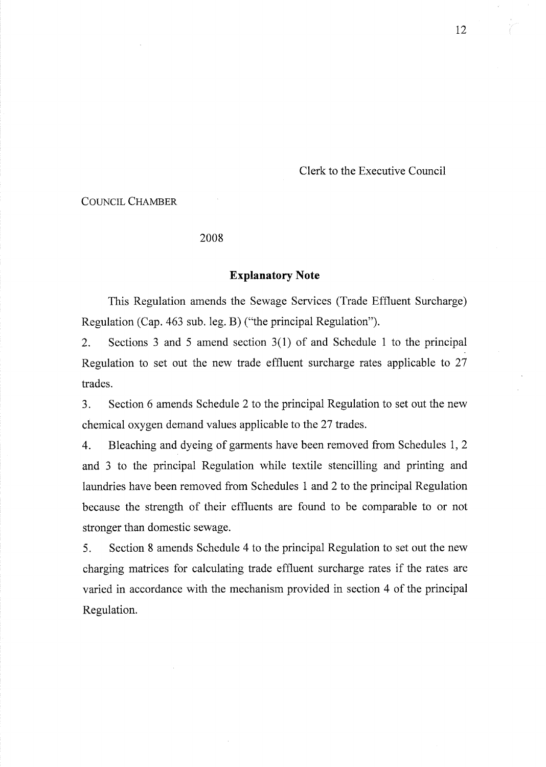Clerk to the Executive Council

### **COUNCIL CHAMBER**

### 2008

### **Explanatory Note**

This Regulation amends the Sewage Services (Trade Effluent Surcharge) Regulation (Cap. 463 sub. leg. B) ("the principal Regulation").

 $\overline{2}$ . Sections 3 and 5 amend section  $3(1)$  of and Schedule 1 to the principal Regulation to set out the new trade effluent surcharge rates applicable to 27 trades.

 $3.$ Section 6 amends Schedule 2 to the principal Regulation to set out the new chemical oxygen demand values applicable to the 27 trades.

 $\overline{4}$ . Bleaching and dyeing of garments have been removed from Schedules 1, 2 and 3 to the principal Regulation while textile stencilling and printing and laundries have been removed from Schedules 1 and 2 to the principal Regulation because the strength of their effluents are found to be comparable to or not stronger than domestic sewage.

 $5<sub>1</sub>$ Section 8 amends Schedule 4 to the principal Regulation to set out the new charging matrices for calculating trade effluent surcharge rates if the rates are varied in accordance with the mechanism provided in section 4 of the principal Regulation.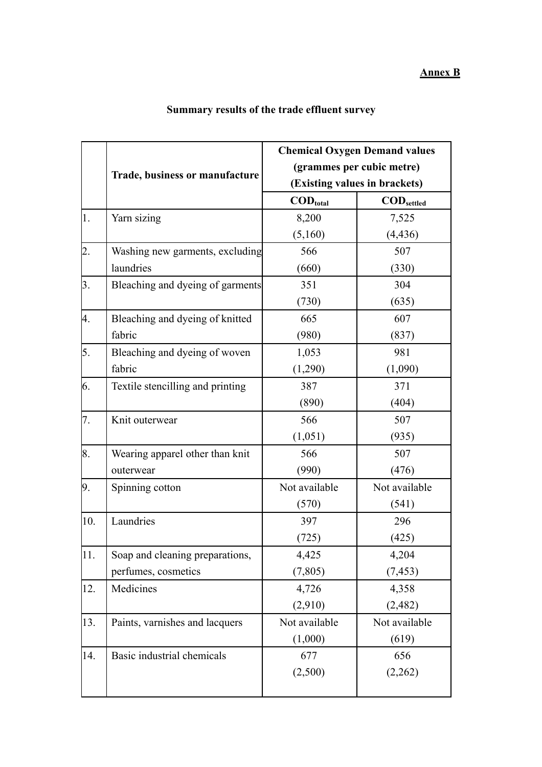|                  | <b>Trade, business or manufacture</b> | <b>Chemical Oxygen Demand values</b><br>(grammes per cubic metre) |                                 |
|------------------|---------------------------------------|-------------------------------------------------------------------|---------------------------------|
|                  |                                       |                                                                   |                                 |
|                  |                                       | (Existing values in brackets)                                     |                                 |
|                  |                                       | $\mathbf{COD}_{\text{total}}$                                     | $\mathbf{COD}_{\text{settled}}$ |
| 1.               | Yarn sizing                           | 8,200                                                             | 7,525                           |
|                  |                                       | (5,160)                                                           | (4, 436)                        |
| $\overline{2}$ . | Washing new garments, excluding       | 566                                                               | 507                             |
|                  | laundries                             | (660)                                                             | (330)                           |
| 3.               | Bleaching and dyeing of garments      | 351                                                               | 304                             |
|                  |                                       | (730)                                                             | (635)                           |
| 4.               | Bleaching and dyeing of knitted       | 665                                                               | 607                             |
|                  | fabric                                | (980)                                                             | (837)                           |
| 5.               | Bleaching and dyeing of woven         | 1,053                                                             | 981                             |
|                  | fabric                                | (1,290)                                                           | (1,090)                         |
| 6.               | Textile stencilling and printing      | 387                                                               | 371                             |
|                  |                                       | (890)                                                             | (404)                           |
| 7.               | Knit outerwear                        | 566                                                               | 507                             |
|                  |                                       | (1,051)                                                           | (935)                           |
| 8.               | Wearing apparel other than knit       | 566                                                               | 507                             |
|                  | outerwear                             | (990)                                                             | (476)                           |
| 9.               | Spinning cotton                       | Not available                                                     | Not available                   |
|                  |                                       | (570)                                                             | (541)                           |
| 10.              | Laundries                             | 397                                                               | 296                             |
|                  |                                       | (725)                                                             | (425)                           |
| 11.              | Soap and cleaning preparations,       | 4,425                                                             | 4,204                           |
|                  | perfumes, cosmetics                   | (7, 805)                                                          | (7, 453)                        |
| 12.              | Medicines                             | 4,726                                                             | 4,358                           |
|                  |                                       | (2,910)                                                           | (2,482)                         |
| 13.              | Paints, varnishes and lacquers        | Not available                                                     | Not available                   |
|                  |                                       | (1,000)                                                           | (619)                           |
| 14.              | Basic industrial chemicals            | 677                                                               | 656                             |
|                  |                                       | (2,500)                                                           | (2,262)                         |
|                  |                                       |                                                                   |                                 |

# **Summary results of the trade effluent survey**